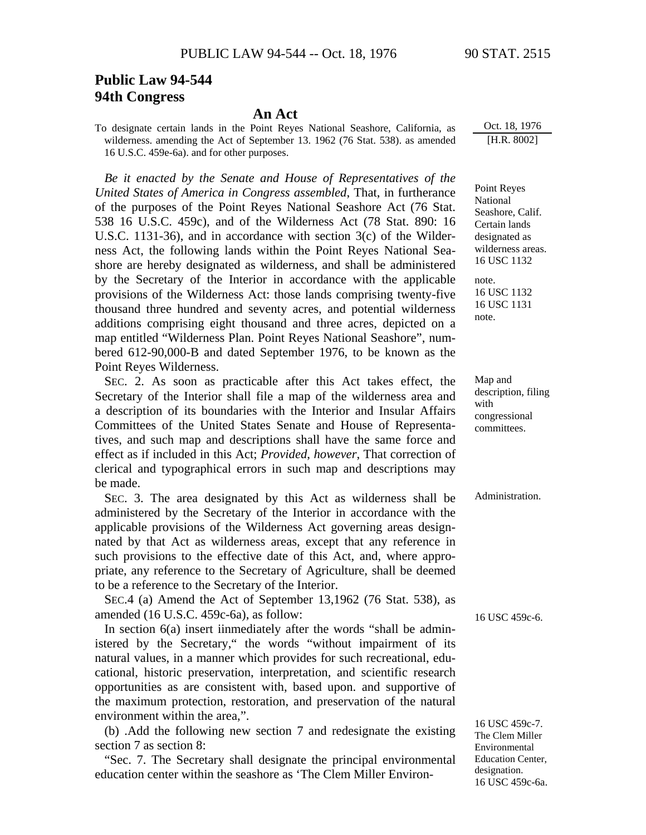## **Public Law 94-544 94th Congress**

## **An Act**

To designate certain lands in the Point Reyes National Seashore, California, as wilderness. amending the Act of September 13. 1962 (76 Stat. 538). as amended 16 U.S.C. 459e-6a). and for other purposes.

*Be it enacted by the Senate and House of Representatives of the United States of America in Congress assembled*, That, in furtherance of the purposes of the Point Reyes National Seashore Act (76 Stat. 538 16 U.S.C. 459c), and of the Wilderness Act (78 Stat. 890: 16 U.S.C. 1131-36), and in accordance with section 3(c) of the Wilderness Act, the following lands within the Point Reyes National Seashore are hereby designated as wilderness, and shall be administered by the Secretary of the Interior in accordance with the applicable provisions of the Wilderness Act: those lands comprising twenty-five thousand three hundred and seventy acres, and potential wilderness additions comprising eight thousand and three acres, depicted on a map entitled "Wilderness Plan. Point Reyes National Seashore", numbered 612-90,000-B and dated September 1976, to be known as the Point Reyes Wilderness.

SEC. 2. As soon as practicable after this Act takes effect, the Secretary of the Interior shall file a map of the wilderness area and a description of its boundaries with the Interior and Insular Affairs Committees of the United States Senate and House of Representatives, and such map and descriptions shall have the same force and effect as if included in this Act; *Provided*, *however*, That correction of clerical and typographical errors in such map and descriptions may be made.

SEC. 3. The area designated by this Act as wilderness shall be Administration. administered by the Secretary of the Interior in accordance with the applicable provisions of the Wilderness Act governing areas designnated by that Act as wilderness areas, except that any reference in such provisions to the effective date of this Act, and, where appropriate, any reference to the Secretary of Agriculture, shall be deemed to be a reference to the Secretary of the Interior.

SEC.4 (a) Amend the Act of September 13,1962 (76 Stat. 538), as amended (16 U.S.C. 459c-6a), as follow:

In section  $6(a)$  insert iinmediately after the words "shall be administered by the Secretary," the words "without impairment of its natural values, in a manner which provides for such recreational, educational, historic preservation, interpretation, and scientific research opportunities as are consistent with, based upon. and supportive of the maximum protection, restoration, and preservation of the natural environment within the area,".

(b) .Add the following new section 7 and redesignate the existing section 7 as section 8:

"Sec. 7. The Secretary shall designate the principal environmental education center within the seashore as 'The Clem Miller EnvironOct. 18, 1976 [H.R. 8002]

Point Reyes National Seashore, Calif. Certain lands designated as wilderness areas. 16 USC 1132

note. 16 USC 1132 16 USC 1131 note.

Map and description, filing with congressional committees.

16 USC 459c-6.

16 USC 459c-7. The Clem Miller Environmental Education Center, designation. 16 USC 459c-6a.